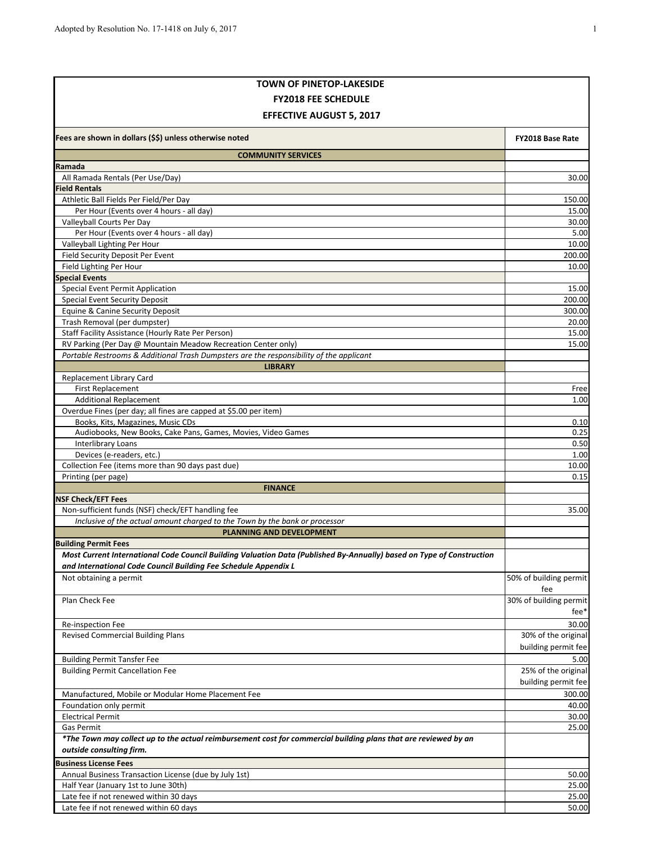| <b>TOWN OF PINETOP-LAKESIDE</b>                                                                                                                          |                        |
|----------------------------------------------------------------------------------------------------------------------------------------------------------|------------------------|
| <b>FY2018 FEE SCHEDULE</b>                                                                                                                               |                        |
| <b>EFFECTIVE AUGUST 5, 2017</b>                                                                                                                          |                        |
| Fees are shown in dollars (\$\$) unless otherwise noted                                                                                                  | FY2018 Base Rate       |
| <b>COMMUNITY SERVICES</b>                                                                                                                                |                        |
| Ramada                                                                                                                                                   |                        |
| All Ramada Rentals (Per Use/Day)                                                                                                                         | 30.00                  |
| <b>Field Rentals</b>                                                                                                                                     |                        |
| Athletic Ball Fields Per Field/Per Day                                                                                                                   | 150.00                 |
| Per Hour (Events over 4 hours - all day)                                                                                                                 | 15.00                  |
| Valleyball Courts Per Day<br>Per Hour (Events over 4 hours - all day)                                                                                    | 30.00<br>5.00          |
| Valleyball Lighting Per Hour                                                                                                                             | 10.00                  |
| Field Security Deposit Per Event                                                                                                                         | 200.00                 |
| Field Lighting Per Hour                                                                                                                                  | 10.00                  |
| <b>Special Events</b>                                                                                                                                    |                        |
| Special Event Permit Application                                                                                                                         | 15.00                  |
| <b>Special Event Security Deposit</b>                                                                                                                    | 200.00                 |
| Equine & Canine Security Deposit                                                                                                                         | 300.00                 |
| Trash Removal (per dumpster)                                                                                                                             | 20.00                  |
| Staff Facility Assistance (Hourly Rate Per Person)                                                                                                       | 15.00                  |
| RV Parking (Per Day @ Mountain Meadow Recreation Center only)<br>Portable Restrooms & Additional Trash Dumpsters are the responsibility of the applicant | 15.00                  |
| <b>LIBRARY</b>                                                                                                                                           |                        |
| Replacement Library Card                                                                                                                                 |                        |
| <b>First Replacement</b>                                                                                                                                 | Free                   |
| <b>Additional Replacement</b>                                                                                                                            | 1.00                   |
| Overdue Fines (per day; all fines are capped at \$5.00 per item)                                                                                         |                        |
| Books, Kits, Magazines, Music CDs                                                                                                                        | 0.10                   |
| Audiobooks, New Books, Cake Pans, Games, Movies, Video Games                                                                                             | 0.25                   |
| Interlibrary Loans<br>Devices (e-readers, etc.)                                                                                                          | 0.50<br>1.00           |
| Collection Fee (items more than 90 days past due)                                                                                                        | 10.00                  |
| Printing (per page)                                                                                                                                      | 0.15                   |
| <b>FINANCE</b>                                                                                                                                           |                        |
| <b>NSF Check/EFT Fees</b>                                                                                                                                |                        |
| Non-sufficient funds (NSF) check/EFT handling fee                                                                                                        | 35.00                  |
| Inclusive of the actual amount charged to the Town by the bank or processor                                                                              |                        |
| <b>PLANNING AND DEVELOPMENT</b><br><b>Building Permit Fees</b>                                                                                           |                        |
| Most Current International Code Council Building Valuation Data (Published By-Annually) based on Type of Construction                                    |                        |
| and International Code Council Building Fee Schedule Appendix L                                                                                          |                        |
| Not obtaining a permit                                                                                                                                   | 50% of building permit |
|                                                                                                                                                          | fee                    |
| Plan Check Fee                                                                                                                                           | 30% of building permit |
|                                                                                                                                                          | fee*                   |
| Re-inspection Fee                                                                                                                                        | 30.00                  |
| <b>Revised Commercial Building Plans</b>                                                                                                                 | 30% of the original    |
|                                                                                                                                                          | building permit fee    |
| <b>Building Permit Tansfer Fee</b>                                                                                                                       | 5.00                   |
| <b>Building Permit Cancellation Fee</b>                                                                                                                  | 25% of the original    |
|                                                                                                                                                          | building permit fee    |
| Manufactured, Mobile or Modular Home Placement Fee<br>Foundation only permit                                                                             | 300.00<br>40.00        |
| <b>Electrical Permit</b>                                                                                                                                 | 30.00                  |
| Gas Permit                                                                                                                                               | 25.00                  |
| *The Town may collect up to the actual reimbursement cost for commercial building plans that are reviewed by an                                          |                        |
| outside consulting firm.                                                                                                                                 |                        |
| <b>Business License Fees</b>                                                                                                                             |                        |
| Annual Business Transaction License (due by July 1st)                                                                                                    | 50.00                  |
| Half Year (January 1st to June 30th)                                                                                                                     | 25.00                  |
| Late fee if not renewed within 30 days                                                                                                                   | 25.00                  |
| Late fee if not renewed within 60 days                                                                                                                   | 50.00                  |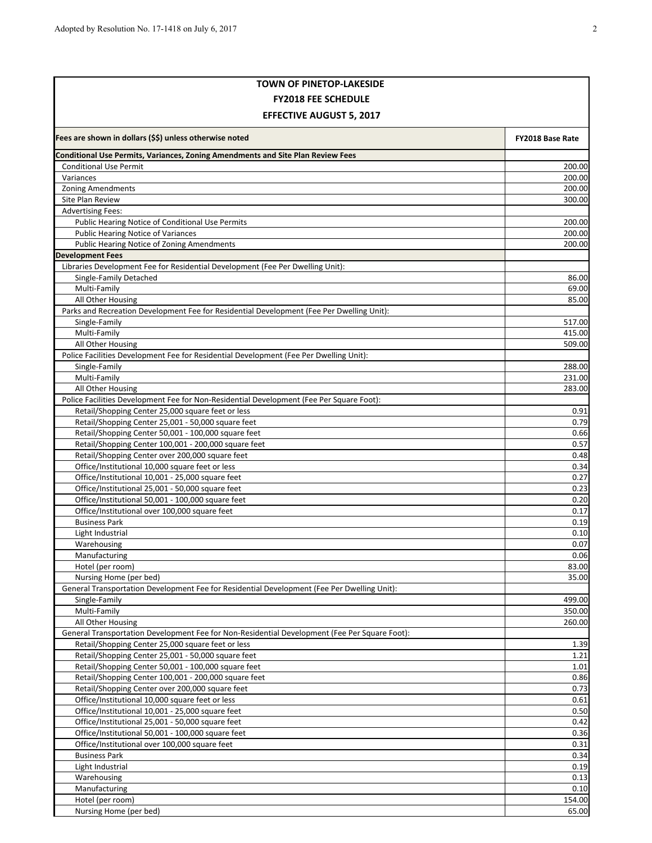| <b>TOWN OF PINETOP-LAKESIDE</b>                                                                                  |                  |  |
|------------------------------------------------------------------------------------------------------------------|------------------|--|
| <b>FY2018 FEE SCHEDULE</b>                                                                                       |                  |  |
| <b>EFFECTIVE AUGUST 5, 2017</b>                                                                                  |                  |  |
| Fees are shown in dollars (\$\$) unless otherwise noted                                                          | FY2018 Base Rate |  |
|                                                                                                                  |                  |  |
| Conditional Use Permits, Variances, Zoning Amendments and Site Plan Review Fees<br><b>Conditional Use Permit</b> |                  |  |
| Variances                                                                                                        | 200.00<br>200.00 |  |
| <b>Zoning Amendments</b>                                                                                         | 200.00           |  |
| Site Plan Review                                                                                                 | 300.00           |  |
| <b>Advertising Fees:</b>                                                                                         |                  |  |
| Public Hearing Notice of Conditional Use Permits                                                                 | 200.00           |  |
| Public Hearing Notice of Variances                                                                               | 200.00           |  |
| Public Hearing Notice of Zoning Amendments                                                                       | 200.00           |  |
| <b>Development Fees</b>                                                                                          |                  |  |
| Libraries Development Fee for Residential Development (Fee Per Dwelling Unit):                                   |                  |  |
| Single-Family Detached                                                                                           | 86.00            |  |
| Multi-Family                                                                                                     | 69.00            |  |
| All Other Housing                                                                                                | 85.00            |  |
| Parks and Recreation Development Fee for Residential Development (Fee Per Dwelling Unit):                        |                  |  |
| Single-Family<br>Multi-Family                                                                                    | 517.00<br>415.00 |  |
| All Other Housing                                                                                                | 509.00           |  |
| Police Facilities Development Fee for Residential Development (Fee Per Dwelling Unit):                           |                  |  |
| Single-Family                                                                                                    | 288.00           |  |
| Multi-Family                                                                                                     | 231.00           |  |
| All Other Housing                                                                                                | 283.00           |  |
| Police Facilities Development Fee for Non-Residential Development (Fee Per Square Foot):                         |                  |  |
| Retail/Shopping Center 25,000 square feet or less                                                                | 0.91             |  |
| Retail/Shopping Center 25,001 - 50,000 square feet                                                               | 0.79             |  |
| Retail/Shopping Center 50,001 - 100,000 square feet                                                              | 0.66             |  |
| Retail/Shopping Center 100,001 - 200,000 square feet                                                             | 0.57             |  |
| Retail/Shopping Center over 200,000 square feet                                                                  | 0.48             |  |
| Office/Institutional 10,000 square feet or less                                                                  | 0.34             |  |
| Office/Institutional 10,001 - 25,000 square feet                                                                 | 0.27             |  |
| Office/Institutional 25,001 - 50,000 square feet                                                                 | 0.23             |  |
| Office/Institutional 50,001 - 100,000 square feet                                                                | 0.20             |  |
| Office/Institutional over 100,000 square feet<br><b>Business Park</b>                                            | 0.17<br>0.19     |  |
| Light Industrial                                                                                                 | 0.10             |  |
| Warehousing                                                                                                      | 0.07             |  |
| Manufacturing                                                                                                    | 0.06             |  |
| Hotel (per room)                                                                                                 | 83.00            |  |
| Nursing Home (per bed)                                                                                           | 35.00            |  |
| General Transportation Development Fee for Residential Development (Fee Per Dwelling Unit):                      |                  |  |
| Single-Family                                                                                                    | 499.00           |  |
| Multi-Family                                                                                                     | 350.00           |  |
| All Other Housing                                                                                                | 260.00           |  |
| General Transportation Development Fee for Non-Residential Development (Fee Per Square Foot):                    |                  |  |
| Retail/Shopping Center 25,000 square feet or less                                                                | 1.39             |  |
| Retail/Shopping Center 25,001 - 50,000 square feet                                                               | 1.21             |  |
| Retail/Shopping Center 50,001 - 100,000 square feet                                                              | 1.01             |  |
| Retail/Shopping Center 100,001 - 200,000 square feet<br>Retail/Shopping Center over 200,000 square feet          | 0.86<br>0.73     |  |
| Office/Institutional 10,000 square feet or less                                                                  | 0.61             |  |
| Office/Institutional 10,001 - 25,000 square feet                                                                 | 0.50             |  |
| Office/Institutional 25,001 - 50,000 square feet                                                                 | 0.42             |  |
| Office/Institutional 50,001 - 100,000 square feet                                                                | 0.36             |  |
| Office/Institutional over 100,000 square feet                                                                    | 0.31             |  |
| <b>Business Park</b>                                                                                             | 0.34             |  |
| Light Industrial                                                                                                 | 0.19             |  |
| Warehousing                                                                                                      | 0.13             |  |
| Manufacturing                                                                                                    | 0.10             |  |
| Hotel (per room)                                                                                                 | 154.00           |  |
| Nursing Home (per bed)                                                                                           | 65.00            |  |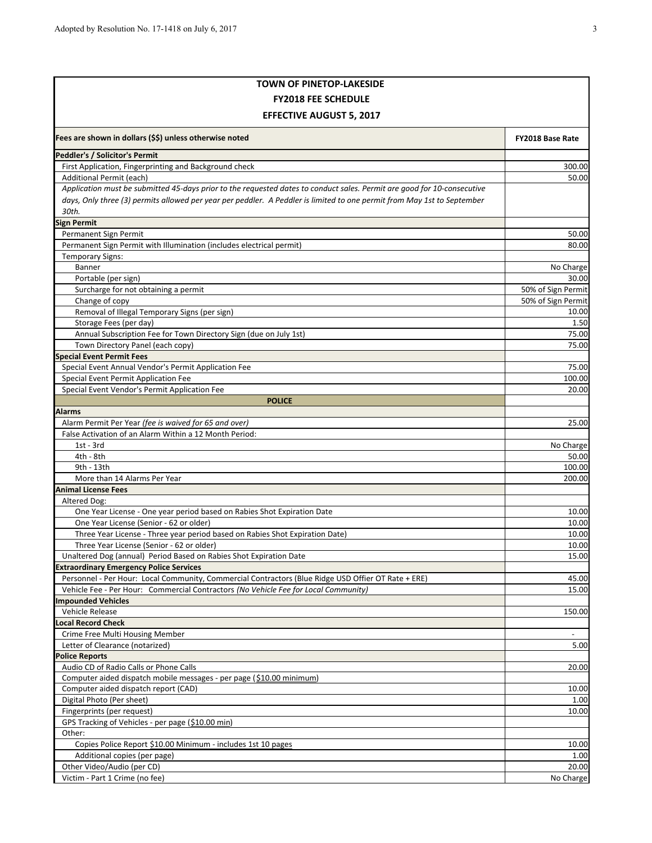| <b>TOWN OF PINETOP-LAKESIDE</b>                                                                                         |                             |  |
|-------------------------------------------------------------------------------------------------------------------------|-----------------------------|--|
| <b>FY2018 FEE SCHEDULE</b>                                                                                              |                             |  |
| <b>EFFECTIVE AUGUST 5, 2017</b>                                                                                         |                             |  |
| Fees are shown in dollars (\$\$) unless otherwise noted                                                                 | FY2018 Base Rate            |  |
| <b>Peddler's / Solicitor's Permit</b>                                                                                   |                             |  |
| First Application, Fingerprinting and Background check                                                                  | 300.00                      |  |
| Additional Permit (each)                                                                                                | 50.00                       |  |
| Application must be submitted 45-days prior to the requested dates to conduct sales. Permit are good for 10-consecutive |                             |  |
| days, Only three (3) permits allowed per year per peddler. A Peddler is limited to one permit from May 1st to September |                             |  |
| 30th.                                                                                                                   |                             |  |
| Sign Permit                                                                                                             |                             |  |
| Permanent Sign Permit                                                                                                   | 50.00                       |  |
| Permanent Sign Permit with Illumination (includes electrical permit)                                                    | 80.00                       |  |
| <b>Temporary Signs:</b>                                                                                                 |                             |  |
| Banner                                                                                                                  | No Charge                   |  |
| Portable (per sign)                                                                                                     | 30.00                       |  |
| Surcharge for not obtaining a permit                                                                                    | 50% of Sign Permit          |  |
| Change of copy<br>Removal of Illegal Temporary Signs (per sign)                                                         | 50% of Sign Permit<br>10.00 |  |
| Storage Fees (per day)                                                                                                  | 1.50                        |  |
| Annual Subscription Fee for Town Directory Sign (due on July 1st)                                                       | 75.00                       |  |
| Town Directory Panel (each copy)                                                                                        | 75.00                       |  |
| <b>Special Event Permit Fees</b>                                                                                        |                             |  |
| Special Event Annual Vendor's Permit Application Fee                                                                    | 75.00                       |  |
| Special Event Permit Application Fee                                                                                    | 100.00                      |  |
| Special Event Vendor's Permit Application Fee                                                                           | 20.00                       |  |
| <b>POLICE</b>                                                                                                           |                             |  |
| Alarms                                                                                                                  |                             |  |
| Alarm Permit Per Year (fee is waived for 65 and over)                                                                   | 25.00                       |  |
| False Activation of an Alarm Within a 12 Month Period:                                                                  |                             |  |
| $1st - 3rd$                                                                                                             | No Charge                   |  |
| 4th - 8th                                                                                                               | 50.00                       |  |
| 9th - 13th                                                                                                              | 100.00                      |  |
| More than 14 Alarms Per Year                                                                                            | 200.00                      |  |
| <b>Animal License Fees</b>                                                                                              |                             |  |
| Altered Dog:                                                                                                            |                             |  |
| One Year License - One year period based on Rabies Shot Expiration Date                                                 | 10.00                       |  |
| One Year License (Senior - 62 or older)                                                                                 | 10.00                       |  |
| Three Year License - Three year period based on Rabies Shot Expiration Date)                                            | 10.00<br>10.00              |  |
| Three Year License (Senior - 62 or older)<br>Unaltered Dog (annual) Period Based on Rabies Shot Expiration Date         | 15.00                       |  |
| <b>Extraordinary Emergency Police Services</b>                                                                          |                             |  |
| Personnel - Per Hour: Local Community, Commercial Contractors (Blue Ridge USD Offier OT Rate + ERE)                     | 45.00                       |  |
| Vehicle Fee - Per Hour: Commercial Contractors (No Vehicle Fee for Local Community)                                     | 15.00                       |  |
| <b>Impounded Vehicles</b>                                                                                               |                             |  |
| Vehicle Release                                                                                                         | 150.00                      |  |
| Local Record Check                                                                                                      |                             |  |
| Crime Free Multi Housing Member                                                                                         | $\overline{\phantom{a}}$    |  |
| Letter of Clearance (notarized)                                                                                         | 5.00                        |  |
| <b>Police Reports</b>                                                                                                   |                             |  |
| Audio CD of Radio Calls or Phone Calls                                                                                  | 20.00                       |  |
| Computer aided dispatch mobile messages - per page (\$10.00 minimum)                                                    |                             |  |
| Computer aided dispatch report (CAD)                                                                                    | 10.00                       |  |
| Digital Photo (Per sheet)                                                                                               | 1.00                        |  |
| Fingerprints (per request)                                                                                              | 10.00                       |  |
| GPS Tracking of Vehicles - per page (\$10.00 min)                                                                       |                             |  |
| Other:                                                                                                                  |                             |  |
| Copies Police Report \$10.00 Minimum - includes 1st 10 pages                                                            | 10.00                       |  |
| Additional copies (per page)                                                                                            | 1.00                        |  |
| Other Video/Audio (per CD)<br>Victim - Part 1 Crime (no fee)                                                            | 20.00<br>No Charge          |  |
|                                                                                                                         |                             |  |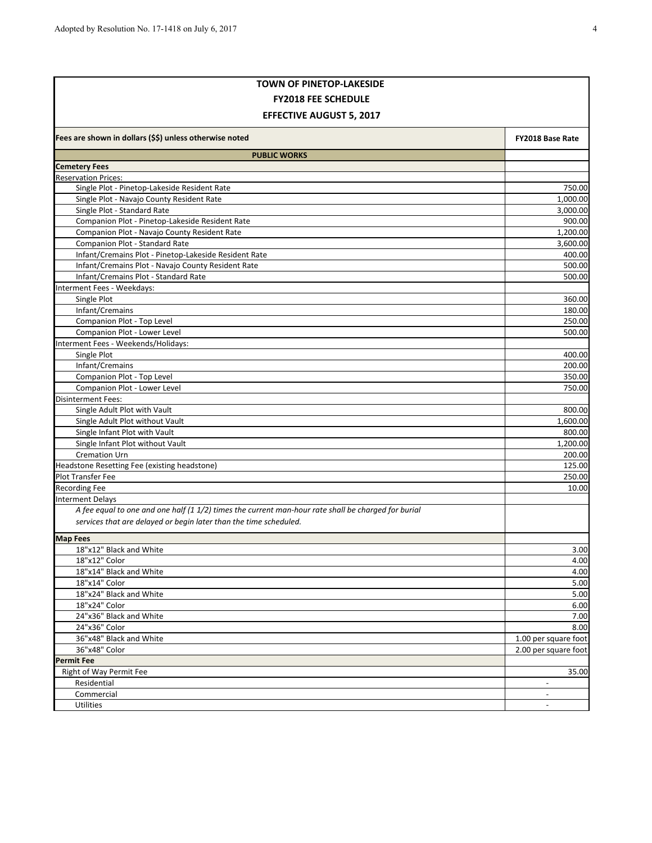| <b>TOWN OF PINETOP-LAKESIDE</b>                                                                     |                          |  |  |
|-----------------------------------------------------------------------------------------------------|--------------------------|--|--|
| <b>FY2018 FEE SCHEDULE</b>                                                                          |                          |  |  |
| <b>EFFECTIVE AUGUST 5, 2017</b>                                                                     |                          |  |  |
| Fees are shown in dollars (\$\$) unless otherwise noted                                             | FY2018 Base Rate         |  |  |
| <b>PUBLIC WORKS</b>                                                                                 |                          |  |  |
| <b>Cemetery Fees</b>                                                                                |                          |  |  |
| <b>Reservation Prices:</b>                                                                          |                          |  |  |
| Single Plot - Pinetop-Lakeside Resident Rate                                                        | 750.00                   |  |  |
| Single Plot - Navajo County Resident Rate                                                           | 1,000.00                 |  |  |
| Single Plot - Standard Rate                                                                         | 3,000.00                 |  |  |
| Companion Plot - Pinetop-Lakeside Resident Rate                                                     | 900.00                   |  |  |
| Companion Plot - Navajo County Resident Rate                                                        | 1,200.00                 |  |  |
| Companion Plot - Standard Rate                                                                      | 3,600.00                 |  |  |
| Infant/Cremains Plot - Pinetop-Lakeside Resident Rate                                               | 400.00                   |  |  |
| Infant/Cremains Plot - Navajo County Resident Rate                                                  | 500.00                   |  |  |
| Infant/Cremains Plot - Standard Rate                                                                | 500.00                   |  |  |
| Interment Fees - Weekdays:                                                                          |                          |  |  |
| Single Plot                                                                                         | 360.00                   |  |  |
| Infant/Cremains<br>Companion Plot - Top Level                                                       | 180.00                   |  |  |
| Companion Plot - Lower Level                                                                        | 250.00<br>500.00         |  |  |
| Interment Fees - Weekends/Holidays:                                                                 |                          |  |  |
| Single Plot                                                                                         | 400.00                   |  |  |
| Infant/Cremains                                                                                     | 200.00                   |  |  |
| Companion Plot - Top Level                                                                          | 350.00                   |  |  |
| Companion Plot - Lower Level                                                                        | 750.00                   |  |  |
| <b>Disinterment Fees:</b>                                                                           |                          |  |  |
| Single Adult Plot with Vault                                                                        | 800.00                   |  |  |
| Single Adult Plot without Vault                                                                     | 1,600.00                 |  |  |
| Single Infant Plot with Vault                                                                       | 800.00                   |  |  |
| Single Infant Plot without Vault                                                                    | 1,200.00                 |  |  |
| <b>Cremation Urn</b>                                                                                | 200.00                   |  |  |
| Headstone Resetting Fee (existing headstone)                                                        | 125.00                   |  |  |
| Plot Transfer Fee                                                                                   | 250.00                   |  |  |
| <b>Recording Fee</b>                                                                                | 10.00                    |  |  |
| <b>Interment Delays</b>                                                                             |                          |  |  |
| A fee equal to one and one half (1 1/2) times the current man-hour rate shall be charged for burial |                          |  |  |
| services that are delayed or begin later than the time scheduled.                                   |                          |  |  |
| <b>Map Fees</b>                                                                                     |                          |  |  |
| 18"x12" Black and White                                                                             | 3.00                     |  |  |
| 18"x12" Color                                                                                       | 4.00                     |  |  |
| 18"x14" Black and White                                                                             | 4.00                     |  |  |
| 18"x14" Color                                                                                       | 5.00                     |  |  |
| 18"x24" Black and White                                                                             | 5.00                     |  |  |
| 18"x24" Color                                                                                       | 6.00                     |  |  |
| 24"x36" Black and White                                                                             | 7.00                     |  |  |
| 24"x36" Color                                                                                       | 8.00                     |  |  |
| 36"x48" Black and White                                                                             | 1.00 per square foot     |  |  |
| 36"x48" Color                                                                                       | 2.00 per square foot     |  |  |
| <b>Permit Fee</b>                                                                                   |                          |  |  |
| Right of Way Permit Fee                                                                             | 35.00                    |  |  |
| Residential                                                                                         |                          |  |  |
| Commercial                                                                                          | $\overline{\phantom{a}}$ |  |  |
| Utilities                                                                                           |                          |  |  |